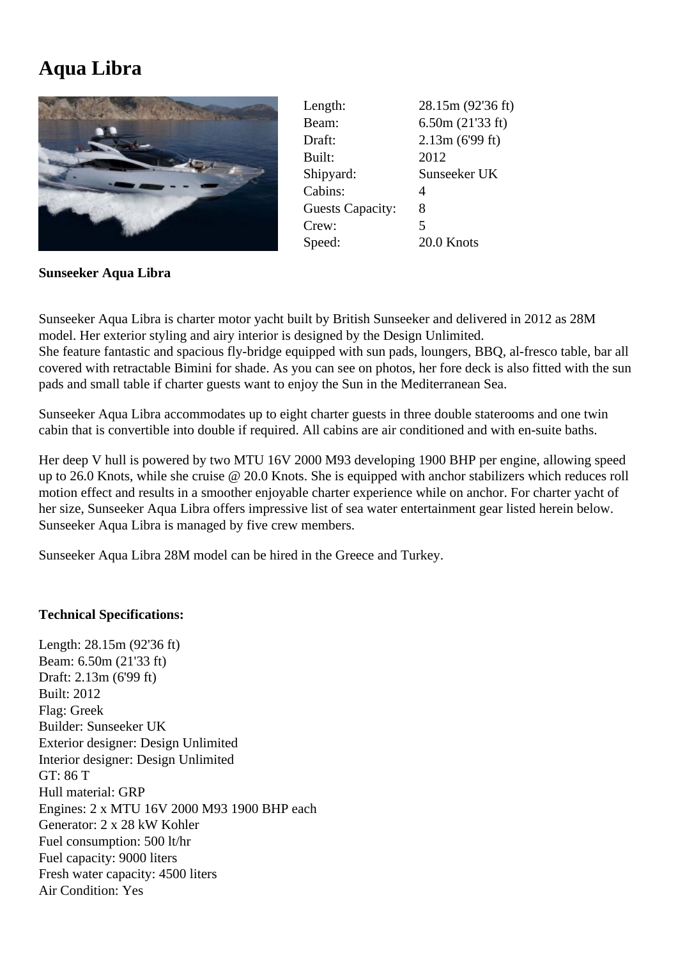## **Aqua Libra**



| Length:                 | 28.15m (92'36 ft) |
|-------------------------|-------------------|
| Beam:                   | 6.50m(21'33 ft)   |
| Draft:                  | 2.13m(699 ft)     |
| Built:                  | 2012              |
| Shipyard:               | Sunseeker UK      |
| Cabins:                 | 4                 |
| <b>Guests Capacity:</b> | 8                 |
| Crew:                   | 5                 |
| Speed:                  | 20.0 Knots        |

**Sunseeker Aqua Libra**

Sunseeker Aqua Libra is charter motor yacht built by British Sunseeker and delivered in 2012 as 28M model. Her exterior styling and airy interior is designed by the Design Unlimited.

She feature fantastic and spacious fly-bridge equipped with sun pads, loungers, BBQ, al-fresco table, bar all covered with retractable Bimini for shade. As you can see on photos, her fore deck is also fitted with the sun pads and small table if charter guests want to enjoy the Sun in the Mediterranean Sea.

Sunseeker Aqua Libra accommodates up to eight charter guests in three double staterooms and one twin cabin that is convertible into double if required. All cabins are air conditioned and with en-suite baths.

Her deep V hull is powered by two MTU 16V 2000 M93 developing 1900 BHP per engine, allowing speed up to 26.0 Knots, while she cruise @ 20.0 Knots. She is equipped with anchor stabilizers which reduces roll motion effect and results in a smoother enjoyable charter experience while on anchor. For charter yacht of her size, Sunseeker Aqua Libra offers impressive list of sea water entertainment gear listed herein below. Sunseeker Aqua Libra is managed by five crew members.

Sunseeker Aqua Libra 28M model can be hired in the Greece and Turkey.

## **Technical Specifications:**

Length: 28.15m (92'36 ft) Beam: 6.50m (21'33 ft) Draft: 2.13m (6'99 ft) Built: 2012 Flag: Greek Builder: Sunseeker UK Exterior designer: Design Unlimited Interior designer: Design Unlimited GT: 86 T Hull material: GRP Engines: 2 x MTU 16V 2000 M93 1900 BHP each Generator: 2 x 28 kW Kohler Fuel consumption: 500 lt/hr Fuel capacity: 9000 liters Fresh water capacity: 4500 liters Air Condition: Yes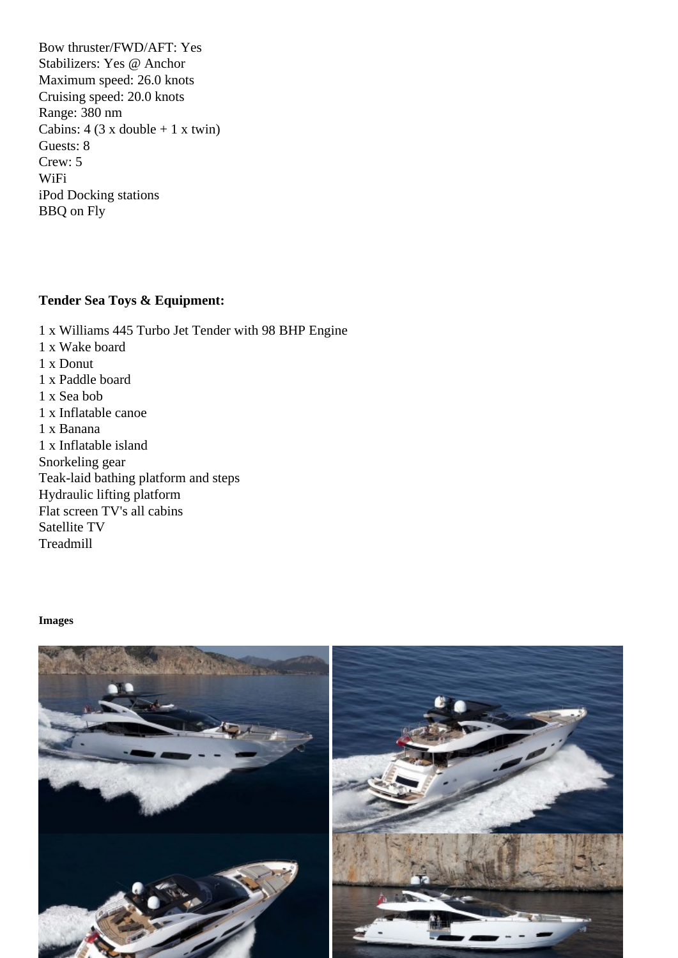Stabilizers: Yes @ Anchor Maximum speed: 26.0 knots Cruising speed: 20.0 knots Range: 380 nm Cabins:  $4$  (3 x double + 1 x twin) Guests: 8 Crew: 5 WiFi iPod Docking stations BBQ on Fly

Tender Sea Toys & Equipment:

1 x Williams 445 Turbo Jet Tender with 98 BHP Engine 1 x Wake board 1 x Donut 1 x Paddle board 1 x Sea bob 1 x Inflatable canoe 1 x Banana 1 x Inflatable island Snorkeling gear Teak-laid bathing platform and steps Hydraulic lifting platform Flat screen TV's all cabins Satellite TV **Treadmill** 

Images